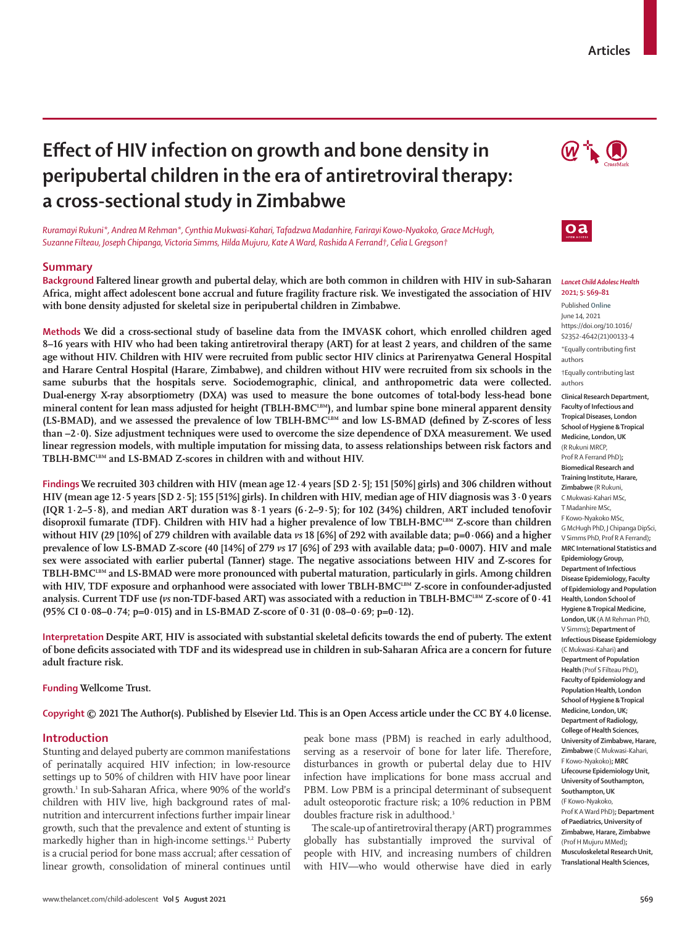## **Articles**

# **Effect of HIV infection on growth and bone density in peripubertal children in the era of antiretroviral therapy: a cross-sectional study in Zimbabwe**

*Ruramayi Rukuni\*, Andrea M Rehman\*, Cynthia Mukwasi-Kahari, Tafadzwa Madanhire, Farirayi Kowo-Nyakoko, Grace McHugh, Suzanne Filteau, Joseph Chipanga, Victoria Simms, Hilda Mujuru, Kate A Ward, Rashida A Ferrand†, Celia L Gregson†*

## **Summary**

**Background Faltered linear growth and pubertal delay, which are both common in children with HIV in sub-Saharan Africa, might affect adolescent bone accrual and future fragility fracture risk. We investigated the association of HIV with bone density adjusted for skeletal size in peripubertal children in Zimbabwe.**

**Methods We did a cross-sectional study of baseline data from the IMVASK cohort, which enrolled children aged 8–16 years with HIV who had been taking antiretroviral therapy (ART) for at least 2 years, and children of the same age without HIV. Children with HIV were recruited from public sector HIV clinics at Parirenyatwa General Hospital and Harare Central Hospital (Harare, Zimbabwe), and children without HIV were recruited from six schools in the same suburbs that the hospitals serve. Sociodemographic, clinical, and anthropometric data were collected. Dual-energy X-ray absorptiometry (DXA) was used to measure the bone outcomes of total-body less-head bone**  mineral content for lean mass adjusted for height (TBLH-BMC<sup>LBM</sup>), and lumbar spine bone mineral apparent density **(LS-BMAD), and we assessed the prevalence of low TBLH-BMCLBM and low LS-BMAD (defined by Z-scores of less than –2·0). Size adjustment techniques were used to overcome the size dependence of DXA measurement. We used linear regression models, with multiple imputation for missing data, to assess relationships between risk factors and**  TBLH-BMC<sup>LBM</sup> and LS-BMAD Z-scores in children with and without HIV.

**Findings We recruited 303 children with HIV (mean age 12·4 years [SD 2·5]; 151 [50%] girls) and 306 children without HIV (mean age 12·5 years [SD 2·5]; 155 [51%] girls). In children with HIV, median age of HIV diagnosis was 3·0 years (IQR 1·2–5·8), and median ART duration was 8·1 years (6·2–9·5); for 102 (34%) children, ART included tenofovir**  disoproxil fumarate (TDF). Children with HIV had a higher prevalence of low TBLH-BMC<sup>LBM</sup> Z-score than children **without HIV (29 [10%] of 279 children with available data** *vs* **18 [6%] of 292 with available data; p=0·066) and a higher prevalence of low LS-BMAD Z-score (40 [14%] of 279** *vs* **17 [6%] of 293 with available data; p=0·0007). HIV and male sex were associated with earlier pubertal (Tanner) stage. The negative associations between HIV and Z-scores for TBLH-BMC<sup>LBM</sup> and LS-BMAD were more pronounced with pubertal maturation, particularly in girls. Among children** with HIV, TDF exposure and orphanhood were associated with lower TBLH-BMC<sup>LBM</sup> Z-score in confounder-adjusted analysis. Current TDF use (*vs* non-TDF-based ART) was associated with a reduction in TBLH-BMC<sup>LBM</sup> Z-score of 0·41 **(95% CI 0·08–0·74; p=0·015) and in LS-BMAD Z-score of 0·31 (0·08–0·69; p=0·12).**

**Interpretation Despite ART, HIV is associated with substantial skeletal deficits towards the end of puberty. The extent of bone deficits associated with TDF and its widespread use in children in sub-Saharan Africa are a concern for future adult fracture risk.**

**Funding Wellcome Trust.**

#### **Copyright © 2021 The Author(s). Published by Elsevier Ltd. This is an Open Access article under the CC BY 4.0 license.**

## **Introduction**

Stunting and delayed puberty are common manifestations of perinatally acquired HIV infection; in low-resource settings up to 50% of children with HIV have poor linear growth.1 In sub-Saharan Africa, where 90% of the world's children with HIV live, high background rates of malnutrition and intercurrent infections further impair linear growth, such that the prevalence and extent of stunting is markedly higher than in high-income settings.<sup>1,2</sup> Puberty is a crucial period for bone mass accrual; after cessation of linear growth, consolidation of mineral continues until

peak bone mass (PBM) is reached in early adulthood, serving as a reservoir of bone for later life. Therefore, disturbances in growth or pubertal delay due to HIV infection have implications for bone mass accrual and PBM. Low PBM is a principal determinant of subsequent adult osteoporotic fracture risk; a 10% reduction in PBM doubles fracture risk in adulthood.<sup>3</sup>

The scale-up of antiretroviral therapy (ART) programmes globally has substantially improved the survival of people with HIV, and increasing numbers of children with HIV—who would otherwise have died in early





#### *Lancet Child Adolesc Health* **2021; 5: 569–81**

Published **Online** June 14, 2021 https://doi.org/10.1016/ S2352-4642(21)00133-4

\*Equally contributing first authors

†Equally contributing last authors

**Clinical Research Department, Faculty of Infectious and Tropical Diseases, London School of Hygiene & Tropical Medicine, London, UK**  (R Rukuni MRCP, Prof R A Ferrand PhD)**; Biomedical Research and Training Institute, Harare, Zimbabwe** (R Rukuni, C Mukwasi-Kahari MSc, T Madanhire MSc, F Kowo-Nyakoko MSc, G McHugh PhD, J Chipanga DipSci, V Simms PhD, Prof R A Ferrand)**; MRC International Statistics and Epidemiology Group, Department of Infectious Disease Epidemiology, Faculty of Epidemiology and Population Health, London School of Hygiene & Tropical Medicine, London, UK** (A M Rehman PhD, V Simms)**; Department of Infectious Disease Epidemiology**  (C Mukwasi-Kahari) **and Department of Population Health** (Prof S Filteau PhD)**, Faculty of Epidemiology and Population Health, London School of Hygiene & Tropical Medicine, London, UK; Department of Radiology, College of Health Sciences, University of Zimbabwe, Harare, Zimbabwe** (C Mukwasi-Kahari, F Kowo-Nyakoko)**; MRC Lifecourse Epidemiology Unit, University of Southampton, Southampton, UK**  (F Kowo-Nyakoko, Prof K A Ward PhD)**; Department of Paediatrics, University of Zimbabwe, Harare, Zimbabwe** (Prof H Mujuru MMed)**; Musculoskeletal Research Unit, Translational Health Sciences,**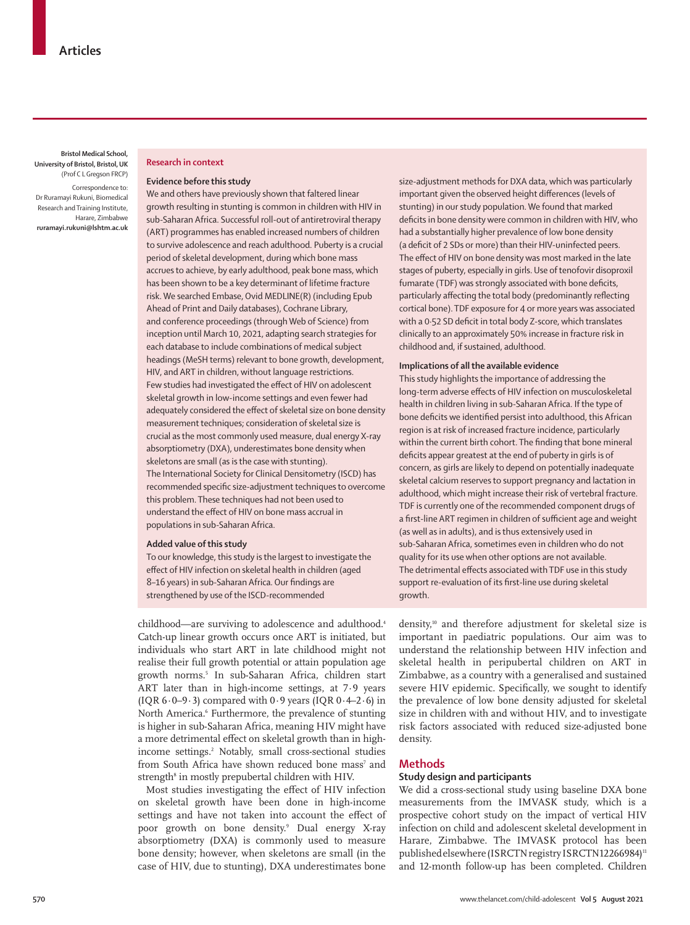**Bristol Medical School, University of Bristol, Bristol, UK** (Prof C L Gregson FRCP)

Correspondence to: Dr Ruramayi Rukuni, Biomedical Research and Training Institute, Harare, Zimbabwe **ruramayi.rukuni@lshtm.ac.uk** 

## **Research in context**

### **Evidence before this study**

We and others have previously shown that faltered linear growth resulting in stunting is common in children with HIV in sub-Saharan Africa. Successful roll-out of antiretroviral therapy (ART) programmes has enabled increased numbers of children to survive adolescence and reach adulthood. Puberty is a crucial period of skeletal development, during which bone mass accrues to achieve, by early adulthood, peak bone mass, which has been shown to be a key determinant of lifetime fracture risk. We searched Embase, Ovid MEDLINE(R) (including Epub Ahead of Print and Daily databases), Cochrane Library, and conference proceedings (through Web of Science) from inception until March 10, 2021, adapting search strategies for each database to include combinations of medical subject headings (MeSH terms) relevant to bone growth, development, HIV, and ART in children, without language restrictions. Few studies had investigated the effect of HIV on adolescent skeletal growth in low-income settings and even fewer had adequately considered the effect of skeletal size on bone density measurement techniques; consideration of skeletal size is crucial as the most commonly used measure, dual energy X-ray absorptiometry (DXA), underestimates bone density when skeletons are small (as is the case with stunting). The International Society for Clinical Densitometry (ISCD) has recommended specific size-adjustment techniques to overcome this problem. These techniques had not been used to understand the effect of HIV on bone mass accrual in populations in sub-Saharan Africa.

## **Added value of this study**

To our knowledge, this study is the largest to investigate the effect of HIV infection on skeletal health in children (aged 8–16 years) in sub-Saharan Africa. Our findings are strengthened by use of the ISCD-recommended

childhood—are surviving to adolescence and adulthood.<sup>4</sup> Catch-up linear growth occurs once ART is initiated, but individuals who start ART in late childhood might not realise their full growth potential or attain population age growth norms.5 In sub-Saharan Africa, children start ART later than in high-income settings, at 7·9 years (IQR  $6.0-9.3$ ) compared with  $0.9$  years (IQR  $0.4-2.6$ ) in North America.<sup>6</sup> Furthermore, the prevalence of stunting is higher in sub-Saharan Africa, meaning HIV might have a more detrimental effect on skeletal growth than in highincome settings.2 Notably, small cross-sectional studies from South Africa have shown reduced bone mass<sup>7</sup> and strength<sup>s</sup> in mostly prepubertal children with HIV.

Most studies investigating the effect of HIV infection on skeletal growth have been done in high-income settings and have not taken into account the effect of poor growth on bone density.9 Dual energy X-ray absorptiometry (DXA) is commonly used to measure bone density; however, when skeletons are small (in the case of HIV, due to stunting), DXA underestimates bone

size-adjustment methods for DXA data, which was particularly important given the observed height differences (levels of stunting) in our study population. We found that marked deficits in bone density were common in children with HIV, who had a substantially higher prevalence of low bone density (a deficit of 2 SDs or more) than their HIV-uninfected peers. The effect of HIV on bone density was most marked in the late stages of puberty, especially in girls. Use of tenofovir disoproxil fumarate (TDF) was strongly associated with bone deficits, particularly affecting the total body (predominantly reflecting cortical bone). TDF exposure for 4 or more years was associated with a 0·52 SD deficit in total body Z-score, which translates clinically to an approximately 50% increase in fracture risk in childhood and, if sustained, adulthood.

#### **Implications of all the available evidence**

This study highlights the importance of addressing the long-term adverse effects of HIV infection on musculoskeletal health in children living in sub-Saharan Africa. If the type of bone deficits we identified persist into adulthood, this African region is at risk of increased fracture incidence, particularly within the current birth cohort. The finding that bone mineral deficits appear greatest at the end of puberty in girls is of concern, as girls are likely to depend on potentially inadequate skeletal calcium reserves to support pregnancy and lactation in adulthood, which might increase their risk of vertebral fracture. TDF is currently one of the recommended component drugs of a first-line ART regimen in children of sufficient age and weight (as well as in adults), and is thus extensively used in sub-Saharan Africa, sometimes even in children who do not quality for its use when other options are not available. The detrimental effects associated with TDF use in this study support re-evaluation of its first-line use during skeletal growth.

density,10 and therefore adjustment for skeletal size is important in paediatric populations. Our aim was to understand the relationship between HIV infection and skeletal health in peripubertal children on ART in Zimbabwe, as a country with a generalised and sustained severe HIV epidemic. Specifically, we sought to identify the prevalence of low bone density adjusted for skeletal size in children with and without HIV, and to investigate risk factors associated with reduced size-adjusted bone density.

## **Methods**

## **Study design and participants**

We did a cross-sectional study using baseline DXA bone measurements from the IMVASK study, which is a prospective cohort study on the impact of vertical HIV infection on child and adolescent skeletal development in Harare, Zimbabwe. The IMVASK protocol has been published elsewhere (ISRCTN registry ISRCTN12266984)<sup>11</sup> and 12-month follow-up has been completed. Children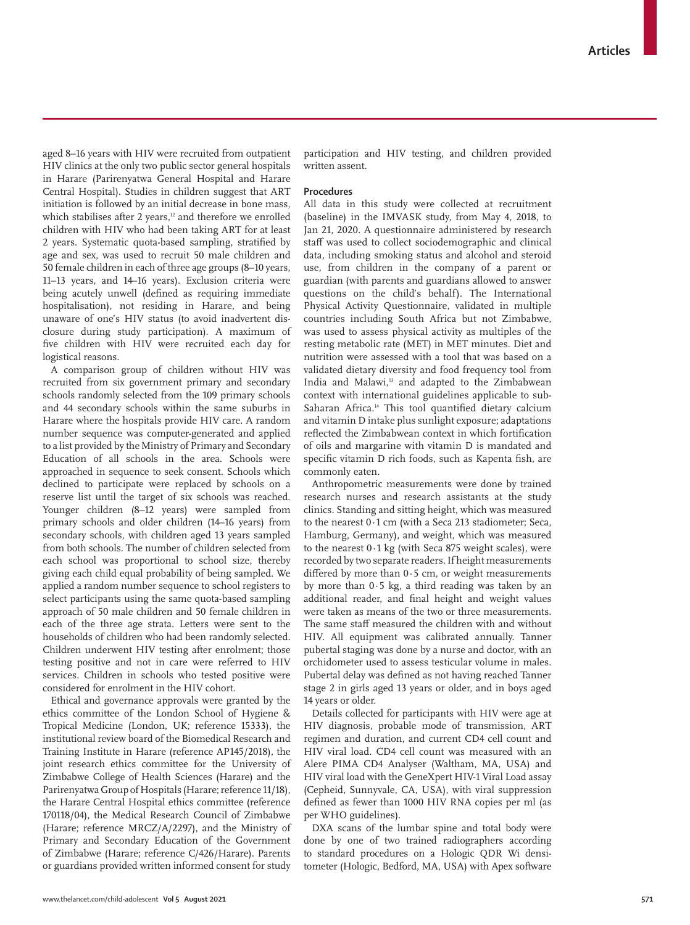aged 8–16 years with HIV were recruited from outpatient HIV clinics at the only two public sector general hospitals in Harare (Parirenyatwa General Hospital and Harare Central Hospital). Studies in children suggest that ART initiation is followed by an initial decrease in bone mass, which stabilises after  $2$  years,<sup>12</sup> and therefore we enrolled children with HIV who had been taking ART for at least 2 years. Systematic quota-based sampling, stratified by age and sex, was used to recruit 50 male children and 50 female children in each of three age groups (8–10 years, 11–13 years, and 14–16 years). Exclusion criteria were being acutely unwell (defined as requiring immediate hospitalisation), not residing in Harare, and being unaware of one's HIV status (to avoid inadvertent disclosure during study participation). A maximum of five children with HIV were recruited each day for logistical reasons.

A comparison group of children without HIV was recruited from six government primary and secondary schools randomly selected from the 109 primary schools and 44 secondary schools within the same suburbs in Harare where the hospitals provide HIV care. A random number sequence was computer-generated and applied to a list provided by the Ministry of Primary and Secondary Education of all schools in the area. Schools were approached in sequence to seek consent. Schools which declined to participate were replaced by schools on a reserve list until the target of six schools was reached. Younger children (8–12 years) were sampled from primary schools and older children (14–16 years) from secondary schools, with children aged 13 years sampled from both schools. The number of children selected from each school was proportional to school size, thereby giving each child equal probability of being sampled. We applied a random number sequence to school registers to select participants using the same quota-based sampling approach of 50 male children and 50 female children in each of the three age strata. Letters were sent to the households of children who had been randomly selected. Children underwent HIV testing after enrolment; those testing positive and not in care were referred to HIV services. Children in schools who tested positive were considered for enrolment in the HIV cohort.

Ethical and governance approvals were granted by the ethics committee of the London School of Hygiene & Tropical Medicine (London, UK; reference 15333), the institutional review board of the Biomedical Research and Training Institute in Harare (reference AP145/2018), the joint research ethics committee for the University of Zimbabwe College of Health Sciences (Harare) and the Parirenyatwa Group of Hospitals (Harare; reference 11/18), the Harare Central Hospital ethics committee (reference 170118/04), the Medical Research Council of Zimbabwe (Harare; reference MRCZ/A/2297), and the Ministry of Primary and Secondary Education of the Government of Zimbabwe (Harare; reference C/426/Harare). Parents or guardians provided written informed consent for study participation and HIV testing, and children provided written assent.

## **Procedures**

All data in this study were collected at recruitment (baseline) in the IMVASK study, from May 4, 2018, to Jan 21, 2020. A questionnaire administered by research staff was used to collect sociodemographic and clinical data, including smoking status and alcohol and steroid use, from children in the company of a parent or guardian (with parents and guardians allowed to answer questions on the child's behalf). The International Physical Activity Questionnaire, validated in multiple countries including South Africa but not Zimbabwe, was used to assess physical activity as multiples of the resting metabolic rate (MET) in MET minutes. Diet and nutrition were assessed with a tool that was based on a validated dietary diversity and food frequency tool from India and Malawi,<sup>13</sup> and adapted to the Zimbabwean context with international guidelines applicable to sub-Saharan Africa.<sup>14</sup> This tool quantified dietary calcium and vitamin D intake plus sunlight exposure; adaptations reflected the Zimbabwean context in which fortification of oils and margarine with vitamin D is mandated and specific vitamin D rich foods, such as Kapenta fish, are commonly eaten.

Anthropometric measurements were done by trained research nurses and research assistants at the study clinics. Standing and sitting height, which was measured to the nearest 0·1 cm (with a Seca 213 stadiometer; Seca, Hamburg, Germany), and weight, which was measured to the nearest 0·1 kg (with Seca 875 weight scales), were recorded by two separate readers. If height measurements differed by more than  $0.5$  cm, or weight measurements by more than 0·5 kg, a third reading was taken by an additional reader, and final height and weight values were taken as means of the two or three measurements. The same staff measured the children with and without HIV. All equipment was calibrated annually. Tanner pubertal staging was done by a nurse and doctor, with an orchidometer used to assess testicular volume in males. Pubertal delay was defined as not having reached Tanner stage 2 in girls aged 13 years or older, and in boys aged 14 years or older.

Details collected for participants with HIV were age at HIV diagnosis, probable mode of transmission, ART regimen and duration, and current CD4 cell count and HIV viral load. CD4 cell count was measured with an Alere PIMA CD4 Analyser (Waltham, MA, USA) and HIV viral load with the GeneXpert HIV-1 Viral Load assay (Cepheid, Sunnyvale, CA, USA), with viral suppression defined as fewer than 1000 HIV RNA copies per ml (as per WHO guidelines).

DXA scans of the lumbar spine and total body were done by one of two trained radiographers according to standard procedures on a Hologic QDR Wi densitometer (Hologic, Bedford, MA, USA) with Apex software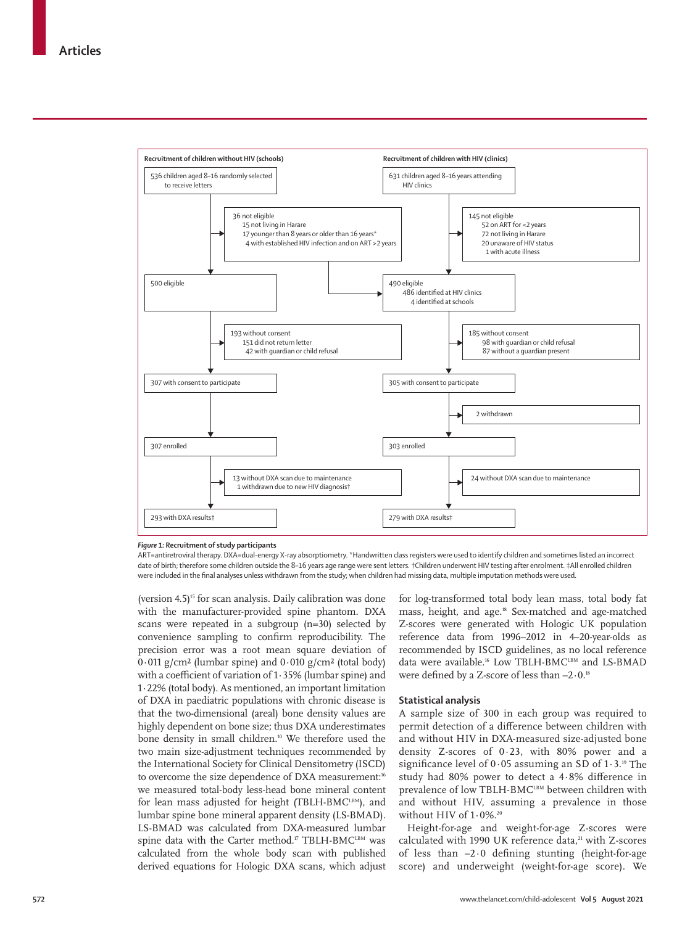

*Figure 1:* **Recruitment of study participants**

ART=antiretroviral therapy. DXA=dual-energy X-ray absorptiometry. \*Handwritten class registers were used to identify children and sometimes listed an incorrect date of birth; therefore some children outside the 8–16 years age range were sent letters. †Children underwent HIV testing after enrolment. ‡All enrolled children were included in the final analyses unless withdrawn from the study; when children had missing data, multiple imputation methods were used.

(version  $4.5$ )<sup>15</sup> for scan analysis. Daily calibration was done with the manufacturer-provided spine phantom. DXA scans were repeated in a subgroup (n=30) selected by convenience sampling to confirm reproducibility. The precision error was a root mean square deviation of  $0.011$  g/cm<sup>2</sup> (lumbar spine) and  $0.010$  g/cm<sup>2</sup> (total body) with a coefficient of variation of 1·35% (lumbar spine) and 1·22% (total body). As mentioned, an important limitation of DXA in paediatric populations with chronic disease is that the two-dimensional (areal) bone density values are highly dependent on bone size; thus DXA underestimates bone density in small children.<sup>10</sup> We therefore used the two main size-adjustment techniques recommended by the International Society for Clinical Densitometry (ISCD) to overcome the size dependence of DXA measurement:<sup>16</sup> we measured total-body less-head bone mineral content for lean mass adjusted for height (TBLH-BMC<sup>LBM</sup>), and lumbar spine bone mineral apparent density (LS-BMAD). LS-BMAD was calculated from DXA-measured lumbar spine data with the Carter method.<sup>17</sup> TBLH-BMC<sup>LBM</sup> was calculated from the whole body scan with published derived equations for Hologic DXA scans, which adjust for log-transformed total body lean mass, total body fat mass, height, and age.18 Sex-matched and age-matched Z-scores were generated with Hologic UK population reference data from 1996–2012 in 4–20-year-olds as recommended by ISCD guidelines, as no local reference data were available.<sup>16</sup> Low TBLH-BMC<sup>LBM</sup> and LS-BMAD were defined by a Z-score of less than –2·0.18

#### **Statistical analysis**

A sample size of 300 in each group was required to permit detection of a difference between children with and without HIV in DXA-measured size-adjusted bone density Z-scores of 0·23, with 80% power and a significance level of  $0.05$  assuming an SD of  $1.3$ .<sup>19</sup> The study had 80% power to detect a 4·8% difference in prevalence of low TBLH-BMCLBM between children with and without HIV, assuming a prevalence in those without HIV of  $1.0\%$ .<sup>20</sup>

Height-for-age and weight-for-age Z-scores were calculated with 1990 UK reference data,<sup>21</sup> with Z-scores of less than –2·0 defining stunting (height-for-age score) and underweight (weight-for-age score). We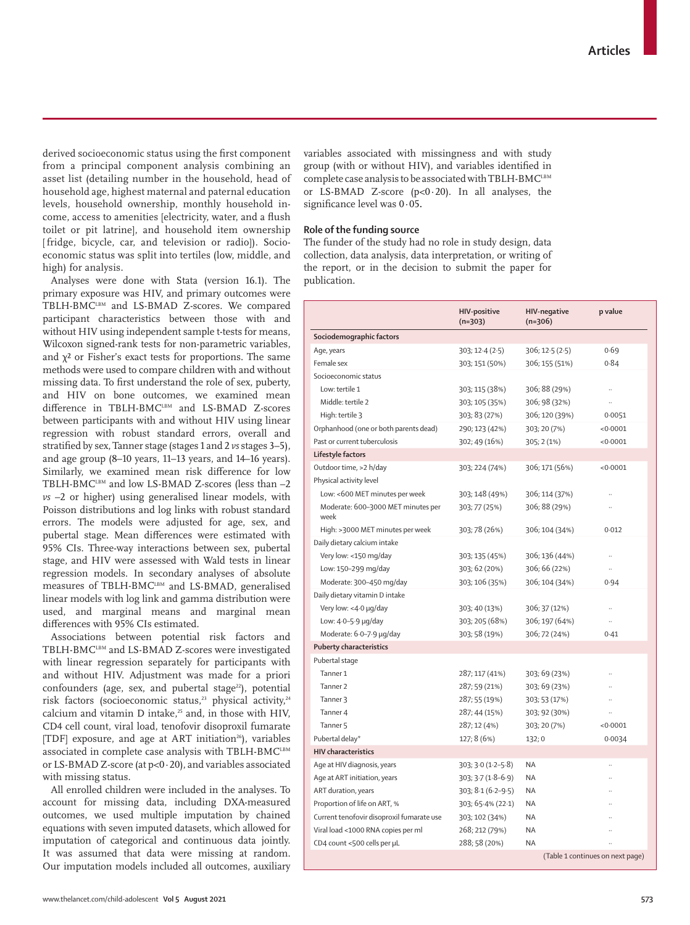derived socioeconomic status using the first component from a principal component analysis combining an asset list (detailing number in the household, head of household age, highest maternal and paternal education levels, household ownership, monthly household income, access to amenities [electricity, water, and a flush toilet or pit latrine], and household item ownership [ fridge, bicycle, car, and television or radio]). Socioeconomic status was split into tertiles (low, middle, and high) for analysis.

Analyses were done with Stata (version 16.1). The primary exposure was HIV, and primary outcomes were TBLH-BMCLBM and LS-BMAD Z-scores. We compared participant characteristics between those with and without HIV using independent sample t-tests for means, Wilcoxon signed-rank tests for non-parametric variables, and  $\chi^2$  or Fisher's exact tests for proportions. The same methods were used to compare children with and without missing data. To first understand the role of sex, puberty, and HIV on bone outcomes, we examined mean difference in TBLH-BMCLBM and LS-BMAD Z-scores between participants with and without HIV using linear regression with robust standard errors, overall and stratified by sex, Tanner stage (stages 1 and 2 *vs* stages 3–5), and age group (8–10 years, 11–13 years, and 14–16 years). Similarly, we examined mean risk difference for low TBLH-BMCLBM and low LS-BMAD Z-scores (less than -2 *vs* –2 or higher) using generalised linear models, with Poisson distributions and log links with robust standard errors. The models were adjusted for age, sex, and pubertal stage. Mean differences were estimated with 95% CIs. Three-way interactions between sex, pubertal stage, and HIV were assessed with Wald tests in linear regression models. In secondary analyses of absolute measures of TBLH-BMC<sup>LBM</sup> and LS-BMAD, generalised linear models with log link and gamma distribution were used, and marginal means and marginal mean differences with 95% CIs estimated.

Associations between potential risk factors and TBLH-BMCLBM and LS-BMAD Z-scores were investigated with linear regression separately for participants with and without HIV. Adjustment was made for a priori confounders (age, sex, and pubertal stage $^{22}$ ), potential risk factors (socioeconomic status,<sup>23</sup> physical activity,<sup>24</sup> calcium and vitamin D intake,<sup>25</sup> and, in those with HIV. CD4 cell count, viral load, tenofovir disoproxil fumarate [TDF] exposure, and age at ART initiation<sup>26</sup>), variables associated in complete case analysis with TBLH-BMCLBM or LS-BMAD Z-score (at p<0·20), and variables associated with missing status.

All enrolled children were included in the analyses. To account for missing data, including DXA-measured outcomes, we used multiple imputation by chained equations with seven imputed datasets, which allowed for imputation of categorical and continuous data jointly. It was assumed that data were missing at random. Our imputation models included all outcomes, auxiliary

variables associated with missingness and with study group (with or without HIV), and variables identified in complete case analysis to be associated with TBLH-BMCLBM or LS-BMAD Z-score  $(p<0.20)$ . In all analyses, the significance level was 0·05**.**

## **Role of the funding source**

The funder of the study had no role in study design, data collection, data analysis, data interpretation, or writing of the report, or in the decision to submit the paper for publication.

|                                            | <b>HIV-positive</b><br>$(n=303)$ | <b>HIV-negative</b><br>$(n=306)$ | p value                          |
|--------------------------------------------|----------------------------------|----------------------------------|----------------------------------|
| Sociodemographic factors                   |                                  |                                  |                                  |
| Age, years                                 | 303; 12.4(2.5)                   | 306; 12.5 (2.5)                  | 0.69                             |
| Female sex                                 | 303; 151 (50%)                   | 306; 155 (51%)                   | 0.84                             |
| Socioeconomic status                       |                                  |                                  |                                  |
| Low: tertile 1                             | 303; 115 (38%)                   | 306; 88 (29%)                    | $\ddot{\phantom{a}}$             |
| Middle: tertile 2                          | 303; 105 (35%)                   | 306; 98 (32%)                    |                                  |
| High: tertile 3                            | 303; 83 (27%)                    | 306; 120 (39%)                   | 0.0051                           |
| Orphanhood (one or both parents dead)      | 290; 123 (42%)                   | 303; 20 (7%)                     | < 0.0001                         |
| Past or current tuberculosis               | 302; 49 (16%)                    | 305; 2 (1%)                      | < 0.0001                         |
| Lifestyle factors                          |                                  |                                  |                                  |
| Outdoor time, >2 h/day                     | 303; 224 (74%)                   | 306; 171 (56%)                   | < 0.0001                         |
| Physical activity level                    |                                  |                                  |                                  |
| Low: <600 MET minutes per week             | 303; 148 (49%)                   | 306; 114 (37%)                   |                                  |
| Moderate: 600-3000 MET minutes per<br>week | 303; 77 (25%)                    | 306; 88 (29%)                    |                                  |
| High: >3000 MET minutes per week           | 303; 78 (26%)                    | 306; 104 (34%)                   | 0.012                            |
| Daily dietary calcium intake               |                                  |                                  |                                  |
| Very low: <150 mg/day                      | 303; 135 (45%)                   | 306; 136 (44%)                   |                                  |
| Low: 150-299 mg/day                        | 303; 62 (20%)                    | 306; 66 (22%)                    |                                  |
| Moderate: 300-450 mg/day                   | 303; 106 (35%)                   | 306; 104 (34%)                   | 0.94                             |
| Daily dietary vitamin D intake             |                                  |                                  |                                  |
| Very low: <4.0 µg/day                      | 303; 40 (13%)                    | 306; 37 (12%)                    | ÷.                               |
| Low: 4.0-5.9 µg/day                        | 303; 205 (68%)                   | 306; 197 (64%)                   | ä,                               |
| Moderate: 6.0-7.9 µg/day                   | 303; 58 (19%)                    | 306; 72 (24%)                    | 0.41                             |
| <b>Puberty characteristics</b>             |                                  |                                  |                                  |
| Pubertal stage                             |                                  |                                  |                                  |
| Tanner <sub>1</sub>                        | 287; 117 (41%)                   | 303; 69 (23%)                    |                                  |
| Tanner <sub>2</sub>                        | 287; 59 (21%)                    | 303; 69 (23%)                    |                                  |
| Tanner <sub>3</sub>                        | 287; 55 (19%)                    | 303; 53 (17%)                    |                                  |
| Tanner 4                                   | 287; 44 (15%)                    | 303; 92 (30%)                    |                                  |
| Tanner <sub>5</sub>                        | 287; 12 (4%)                     | 303; 20 (7%)                     | < 0.0001                         |
| Pubertal delay*                            | 127; 8 (6%)                      | 132; 0                           | 0.0034                           |
| <b>HIV</b> characteristics                 |                                  |                                  |                                  |
| Age at HIV diagnosis, years                | 303; 3.0 (1.2–5.8)               | <b>NA</b>                        |                                  |
| Age at ART initiation, years               | $303; 3.7(1.8-6.9)$              | <b>NA</b>                        |                                  |
| ART duration, years                        | 303; 8.1 (6.2–9.5)               | <b>NA</b>                        |                                  |
| Proportion of life on ART, %               | 303; 65-4% (22-1)                | ΝA                               |                                  |
| Current tenofovir disoproxil fumarate use  | 303; 102 (34%)                   | ΝA                               |                                  |
| Viral load <1000 RNA copies per ml         | 268; 212 (79%)                   | ΝA                               |                                  |
| CD4 count <500 cells per µL                | 288; 58 (20%)                    | <b>NA</b>                        |                                  |
|                                            |                                  |                                  | (Table 1 continues on next page) |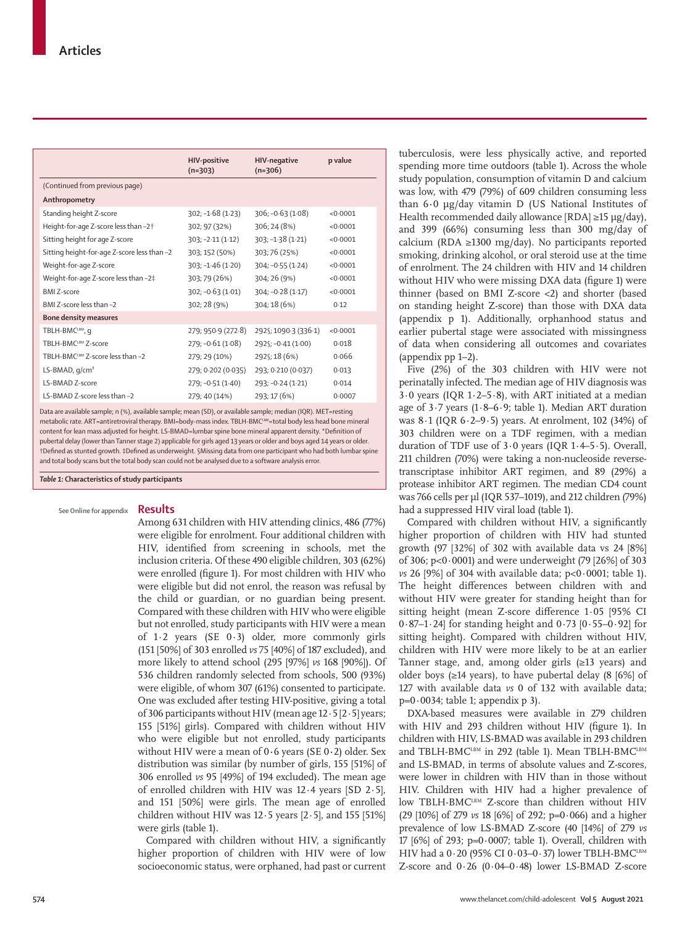|                                             | <b>HIV-positive</b><br>$(n=303)$ | <b>HIV-negative</b><br>$(n=306)$ | p value  |
|---------------------------------------------|----------------------------------|----------------------------------|----------|
| (Continued from previous page)              |                                  |                                  |          |
| Anthropometry                               |                                  |                                  |          |
| Standing height Z-score                     | $302; -1.68(1.23)$               | $306; -0.63(1.08)$               | < 0.0001 |
| Height-for-age Z-score less than -2+        | 302; 97 (32%)                    | 306; 24 (8%)                     | < 0.0001 |
| Sitting height for age Z-score              | $303; -2.11(1.12)$               | $303; -1.38(1.21)$               | < 0.0001 |
| Sitting height-for-age Z-score less than -2 | 303; 152 (50%)                   | 303; 76 (25%)                    | < 0.0001 |
| Weight-for-age Z-score                      | $303; -1.46(1.20)$               | $304; -0.55(1.24)$               | < 0.0001 |
| Weight-for-age Z-score less than -2‡        | 303; 79 (26%)                    | 304; 26 (9%)                     | < 0.0001 |
| <b>BMI Z-score</b>                          | $302; -0.63(1.01)$               | $304; -0.28(1.17)$               | < 0.0001 |
| BMI Z-score less than -2                    | 302; 28 (9%)                     | 304; 18 (6%)                     | 0.12     |
| <b>Bone density measures</b>                |                                  |                                  |          |
| TBLH-BMCLBM, q                              | 279; 950.9 (272.8)               | 292§; 1090-3 (336-1)             | < 0.0001 |
| TBLH-BMCLBM Z-score                         | $279; -0.61(1.08)$               | 292§; -0-41 (1-00)               | 0.018    |
| TBLH-BMCLBM Z-score less than -2            | 279; 29 (10%)                    | 292§; 18 (6%)                    | 0.066    |
| LS-BMAD, $q/cm3$                            | 279; 0.202 (0.035)               | 293; 0.210 (0.037)               | 0.013    |
| LS-BMAD Z-score                             | 279; -0.51 (1.40)                | 293; -0.24 (1.21)                | 0.014    |
| 1.S-BMAD Z-score less than -2               | 279; 40 (14%)                    | 293; 17 (6%)                     | 0.0007   |

Data are available sample; n (%), available sample; mean (SD), or available sample; median (IQR). MET=resting metabolic rate. ART=antiretroviral therapy. BMI=body-mass index. TBLH-BMCLBM=total body less head bone mineral content for lean mass adjusted for height. LS-BMAD=lumbar spine bone mineral apparent density. \*Definition of pubertal delay (lower than Tanner stage 2) applicable for girls aged 13 years or older and boys aged 14 years or older. †Defined as stunted growth. ‡Defined as underweight. §Missing data from one participant who had both lumbar spine and total body scans but the total body scan could not be analysed due to a software analysis error.

*Table 1:* **Characteristics of study participants**

#### **Results** See **Online** for appendix

Among 631 children with HIV attending clinics, 486 (77%) were eligible for enrolment. Four additional children with HIV, identified from screening in schools, met the inclusion criteria. Of these 490 eligible children, 303 (62%) were enrolled (figure 1). For most children with HIV who were eligible but did not enrol, the reason was refusal by the child or guardian, or no guardian being present. Compared with these children with HIV who were eligible but not enrolled, study participants with HIV were a mean of 1·2 years (SE 0·3) older, more commonly girls (151 [50%] of 303 enrolled *vs* 75 [40%] of 187 excluded), and more likely to attend school (295 [97%] *vs* 168 [90%]). Of 536 children randomly selected from schools, 500 (93%) were eligible, of whom 307 (61%) consented to participate. One was excluded after testing HIV-positive, giving a total of 306 participants without HIV (mean age  $12 \cdot 5$  [2 $\cdot$ 5] years; 155 [51%] girls). Compared with children without HIV who were eligible but not enrolled, study participants without HIV were a mean of 0**·**6 years (SE 0**·**2) older. Sex distribution was similar (by number of girls, 155 [51%] of 306 enrolled *vs* 95 [49%] of 194 excluded). The mean age of enrolled children with HIV was 12·4 years [SD 2·5], and 151 [50%] were girls. The mean age of enrolled children without HIV was  $12.5$  years  $[2.5]$ , and  $155$   $[51\%]$ were girls (table 1).

Compared with children without HIV, a significantly higher proportion of children with HIV were of low socioeconomic status, were orphaned, had past or current tuberculosis, were less physically active, and reported spending more time outdoors (table 1). Across the whole study population, consumption of vitamin D and calcium was low, with 479 (79%) of 609 children consuming less than 6**·**0 μg/day vitamin D (US National Institutes of Health recommended daily allowance [RDA] ≥15 μg/day), and 399 (66%) consuming less than 300 mg/day of calcium (RDA ≥1300 mg/day). No participants reported smoking, drinking alcohol, or oral steroid use at the time of enrolment. The 24 children with HIV and 14 children without HIV who were missing DXA data (figure 1) were thinner (based on BMI Z-score <2) and shorter (based on standing height Z-score) than those with DXA data (appendix p 1). Additionally, orphanhood status and earlier pubertal stage were associated with missingness of data when considering all outcomes and covariates (appendix pp 1–2).

Five (2%) of the 303 children with HIV were not perinatally infected. The median age of HIV diagnosis was 3·0 years (IQR 1·2–5·8), with ART initiated at a median age of 3·7 years (1·8–6·9; table 1). Median ART duration was 8·1 (IQR 6·2–9·5) years. At enrolment, 102 (34%) of 303 children were on a TDF regimen, with a median duration of TDF use of  $3.0$  years (IQR  $1.4-5.5$ ). Overall, 211 children (70%) were taking a non-nucleoside reversetranscriptase inhibitor ART regimen, and 89 (29%) a protease inhibitor ART regimen. The median CD4 count was 766 cells per µl (IQR 537–1019), and 212 children (79%) had a suppressed HIV viral load (table 1).

Compared with children without HIV, a significantly higher proportion of children with HIV had stunted growth (97 [32%] of 302 with available data vs 24 [8%] of 306; p<0·0001) and were underweight (79 [26%] of 303 *vs* 26 [9%] of 304 with available data; p<0·0001; table 1). The height differences between children with and without HIV were greater for standing height than for sitting height (mean Z-score difference 1·05 [95% CI 0·87–1·24] for standing height and 0·73 [0·55–0·92] for sitting height). Compared with children without HIV, children with HIV were more likely to be at an earlier Tanner stage, and, among older girls (≥13 years) and older boys ( $\geq$ 14 years), to have pubertal delay (8 [6%] of 127 with available data *vs* 0 of 132 with available data;  $p=0.0034$ ; table 1; appendix p 3).

DXA-based measures were available in 279 children with HIV and 293 children without HIV (figure 1). In children with HIV, LS-BMAD was available in 293 children and TBLH-BMCLBM in 292 (table 1). Mean TBLH-BMCLBM and LS-BMAD, in terms of absolute values and Z-scores, were lower in children with HIV than in those without HIV. Children with HIV had a higher prevalence of low TBLH-BMC<sup>LBM</sup> Z-score than children without HIV (29 [10%] of 279 *vs* 18 [6%] of 292; p=0·066) and a higher prevalence of low LS-BMAD Z-score (40 [14%] of 279 *vs* 17  $[6\%]$  of 293; p=0 $\cdot$ 0007; table 1). Overall, children with HIV had a  $0.20$  (95% CI  $0.03-0.37$ ) lower TBLH-BMCLBM Z-score and 0·26 (0·04–0·48) lower LS-BMAD Z-score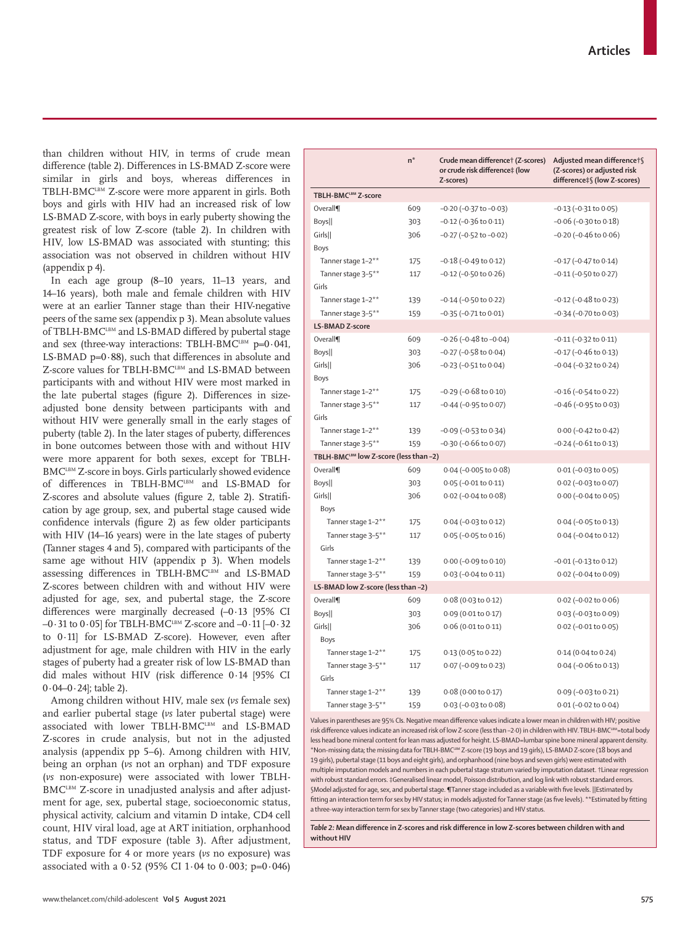www.thelancet.com/child-adolescent **Vol 5 August 2021 575**

than children without HIV, in terms of crude mean difference (table 2). Differences in LS-BMAD Z-score were similar in girls and boys, whereas differences in TBLH-BMCLBM Z-score were more apparent in girls. Both boys and girls with HIV had an increased risk of low LS-BMAD Z-score, with boys in early puberty showing the greatest risk of low Z-score (table 2). In children with HIV, low LS-BMAD was associated with stunting; this association was not observed in children without HIV (appendix p 4).

In each age group (8–10 years, 11–13 years, and 14–16 years), both male and female children with HIV were at an earlier Tanner stage than their HIV-negative peers of the same sex (appendix p 3). Mean absolute values of TBLH-BMCLBM and LS-BMAD differed by pubertal stage and sex (three-way interactions: TBLH-BMCLBM  $p=0.041$ , LS-BMAD  $p=0.88$ ), such that differences in absolute and Z-score values for TBLH-BMCLBM and LS-BMAD between participants with and without HIV were most marked in the late pubertal stages (figure 2). Differences in sizeadjusted bone density between participants with and without HIV were generally small in the early stages of puberty (table 2). In the later stages of puberty, differences in bone outcomes between those with and without HIV were more apparent for both sexes, except for TBLH-BMC<sup>LBM</sup> Z-score in boys. Girls particularly showed evidence of differences in TBLH-BMCLBM and LS-BMAD for Z-scores and absolute values (figure 2, table 2). Stratification by age group, sex, and pubertal stage caused wide confidence intervals (figure 2) as few older participants with HIV (14–16 years) were in the late stages of puberty (Tanner stages 4 and 5), compared with participants of the same age without HIV (appendix p 3). When models assessing differences in TBLH-BMCLBM and LS-BMAD Z-scores between children with and without HIV were adjusted for age, sex, and pubertal stage, the Z-score differences were marginally decreased (–0·13 [95% CI –0·31 to 0·05] for TBLH-BMCLBM Z-score and –0·11 [–0·32 to 0·11] for LS-BMAD Z-score). However, even after adjustment for age, male children with HIV in the early stages of puberty had a greater risk of low LS-BMAD than did males without HIV (risk difference 0·14 [95% CI 0·04–0·24]; table 2).

Among children without HIV, male sex (*vs* female sex) and earlier pubertal stage (*vs* later pubertal stage) were associated with lower TBLH-BMCLBM and LS-BMAD Z-scores in crude analysis, but not in the adjusted analysis (appendix pp 5–6). Among children with HIV, being an orphan (*vs* not an orphan) and TDF exposure (*vs* non-exposure) were associated with lower TBLH-BMC<sup>LBM</sup> Z-score in unadjusted analysis and after adjustment for age, sex, pubertal stage, socioeconomic status, physical activity, calcium and vitamin D intake, CD4 cell count, HIV viral load, age at ART initiation, orphanhood status, and TDF exposure (table 3). After adjustment, TDF exposure for 4 or more years (*vs* no exposure) was associated with a  $0.52$  (95% CI 1.04 to 0.003; p=0.046)

|                                        | $n^*$ | Crude mean differencet (Z-scores)<br>or crude risk difference‡ (low<br>Z-scores) | Adjusted mean difference†§<br>(Z-scores) or adjusted risk<br>difference‡§ (low Z-scores) |
|----------------------------------------|-------|----------------------------------------------------------------------------------|------------------------------------------------------------------------------------------|
| TBLH-BMCLBM Z-score                    |       |                                                                                  |                                                                                          |
| Overall¶                               | 609   | $-0.20$ ( $-0.37$ to $-0.03$ )                                                   | $-0.13$ ( $-0.31$ to $0.05$ )                                                            |
| Boys                                   | 303   | $-0.12$ ( $-0.36$ to $0.11$ )                                                    | $-0.06$ ( $-0.30$ to $0.18$ )                                                            |
| Girls                                  | 306   | $-0.27$ ( $-0.52$ to $-0.02$ )                                                   | $-0.20$ ( $-0.46$ to $0.06$ )                                                            |
| Boys                                   |       |                                                                                  |                                                                                          |
| Tanner stage 1-2**                     | 175   | $-0.18$ ( $-0.49$ to 0.12)                                                       | $-0.17$ ( $-0.47$ to $0.14$ )                                                            |
| Tanner stage 3-5**                     | 117   | $-0.12$ ( $-0.50$ to $0.26$ )                                                    | $-0.11$ ( $-0.50$ to $0.27$ )                                                            |
| Girls                                  |       |                                                                                  |                                                                                          |
| Tanner stage 1-2**                     | 139   | $-0.14$ ( $-0.50$ to $0.22$ )                                                    | $-0.12$ ( $-0.48$ to 0.23)                                                               |
| Tanner stage 3-5**                     | 159   | $-0.35$ ( $-0.71$ to $0.01$ )                                                    | $-0.34$ ( $-0.70$ to $0.03$ )                                                            |
| LS-BMAD Z-score                        |       |                                                                                  |                                                                                          |
| Overall¶                               | 609   | $-0.26$ ( $-0.48$ to $-0.04$ )                                                   | $-0.11$ ( $-0.32$ to $0.11$ )                                                            |
| Boys                                   | 303   | $-0.27$ ( $-0.58$ to $0.04$ )                                                    | $-0.17$ ( $-0.46$ to $0.13$ )                                                            |
| Girls                                  | 306   | $-0.23$ ( $-0.51$ to $0.04$ )                                                    | $-0.04$ ( $-0.32$ to $0.24$ )                                                            |
| <b>Boys</b>                            |       |                                                                                  |                                                                                          |
| Tanner stage 1-2**                     | 175   | $-0.29$ ( $-0.68$ to $0.10$ )                                                    | $-0.16$ ( $-0.54$ to 0.22)                                                               |
| Tanner stage 3-5**                     | 117   | $-0.44$ ( $-0.95$ to $0.07$ )                                                    | $-0.46$ ( $-0.95$ to $0.03$ )                                                            |
| Girls                                  |       |                                                                                  |                                                                                          |
| Tanner stage 1-2**                     | 139   | $-0.09$ ( $-0.53$ to $0.34$ )                                                    | 0.00 (-0.42 to 0.42)                                                                     |
| Tanner stage 3-5**                     | 159   | $-0.30$ ( $-0.66$ to $0.07$ )                                                    | $-0.24$ ( $-0.61$ to $0.13$ )                                                            |
| TBLH-BMCLBM low Z-score (less than -2) |       |                                                                                  |                                                                                          |
| Overall¶                               | 609   | 0.04 (-0.005 to 0.08)                                                            | $0.01 (-0.03 to 0.05)$                                                                   |
| Boys                                   | 303   | $0.05$ (-0.01 to 0.11)                                                           | $0.02$ (-0.03 to 0.07)                                                                   |
| Girls                                  | 306   | $0.02$ (-0.04 to 0.08)                                                           | $0.00 (-0.04 to 0.05)$                                                                   |
| Boys                                   |       |                                                                                  |                                                                                          |
| Tanner stage 1-2**                     | 175   | $0.04 (-0.03 to 0.12)$                                                           | $0.04 (-0.05 to 0.13)$                                                                   |
| Tanner stage 3-5**                     | 117   | $0.05$ (-0.05 to 0.16)                                                           | $0.04 (-0.04 to 0.12)$                                                                   |
| Girls                                  |       |                                                                                  |                                                                                          |
| Tanner stage 1-2**                     | 139   | 0.00 (-0.09 to 0.10)                                                             | $-0.01$ ( $-0.13$ to $0.12$ )                                                            |
| Tanner stage 3-5**                     | 159   | 0.03 (-0.04 to 0.11)                                                             | 0.02 (-0.04 to 0.09)                                                                     |
| LS-BMAD low Z-score (less than -2)     |       |                                                                                  |                                                                                          |
| Overall¶                               | 609   | $0.08$ (0.03 to 0.12)                                                            | $0.02$ (-0.02 to $0.06$ )                                                                |
| Boys                                   | 303   | 0.09 (0.01 to 0.17)                                                              | $0.03 (-0.03 to 0.09)$                                                                   |
| Girls                                  | 306   | $0.06$ (0.01 to 0.11)                                                            | $0.02$ (-0.01 to $0.05$ )                                                                |
| Boys                                   |       |                                                                                  |                                                                                          |
| Tanner stage 1-2**                     | 175   | 0.13 (0.05 to 0.22)                                                              | 0.14 (0.04 to 0.24)                                                                      |
| Tanner stage 3-5**                     | 117   | 0.07 (-0.09 to 0.23)                                                             | $0.04 (-0.06 \text{ to } 0.13)$                                                          |
| Girls                                  |       |                                                                                  |                                                                                          |
| Tanner stage 1-2**                     | 139   | 0.08 (0.00 to 0.17)                                                              | $0.09$ (-0.03 to 0.21)                                                                   |
| Tanner stage 3-5**                     | 159   | 0.03 (-0.03 to 0.08)                                                             | $0.01$ (-0.02 to $0.04$ )                                                                |

Values in parentheses are 95% CIs. Negative mean difference values indicate a lower mean in children with HIV; positive risk difference values indicate an increased risk of low Z-score (less than -2·0) in children with HIV. TBLH-BMCLBM =total body less head bone mineral content for lean mass adjusted for height. LS-BMAD=lumbar spine bone mineral apparent dens \*Non-missing data; the missing data for TBLH-BMCLBM Z-score (19 boys and 19 girls), LS-BMAD Z-score (18 boys and 19 girls), pubertal stage (11 boys and eight girls), and orphanhood (nine boys and seven girls) were estimated with multiple imputation models and numbers in each pubertal stage stratum varied by imputation dataset. †Linear regression with robust standard errors. ‡Generalised linear model, Poisson distribution, and log link with robust standard errors. §Model adjusted for age, sex, and pubertal stage. ¶Tanner stage included as a variable with five levels. ||Estimated by fitting an interaction term for sex by HIV status; in models adjusted for Tanner stage (as five levels). \*\*Estimated by fitting a three-way interaction term for sex by Tanner stage (two categories) and HIV status.

*Table 2:* **Mean difference in Z-scores and risk difference in low Z-scores between children with and without HIV**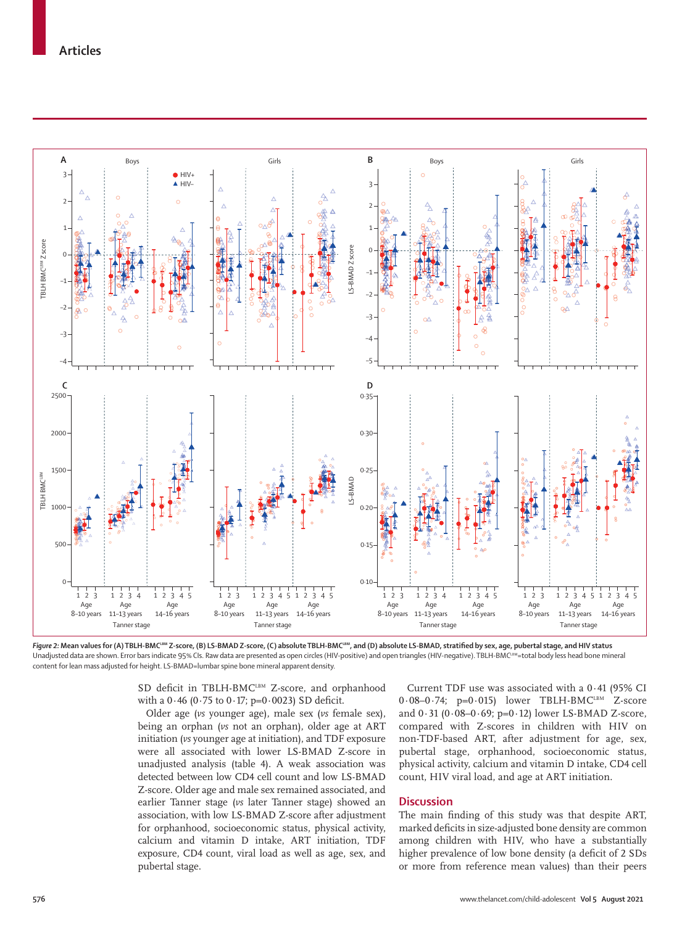

Figure 2: Mean values for (A) TBLH-BMC<sup>LBM</sup> Z-score, (B) LS-BMAD Z-score, (C) absolute TBLH-BMC<sup>LBM</sup>, and (D) absolute LS-BMAD, stratified by sex, age, pubertal stage, and HIV status Unadjusted data are shown. Error bars indicate 95% CIs. Raw data are presented as open circles (HIV-positive) and open triangles (HIV-negative). TBLH-BMC<sup>LBM</sup>=total body less head bone mineral content for lean mass adjusted for height. LS-BMAD=lumbar spine bone mineral apparent density.

SD deficit in TBLH-BMC<sup>LBM</sup> Z-score, and orphanhood with a  $0.46$  (0.75 to  $0.17$ ; p=0.0023) SD deficit.

Older age (*vs* younger age), male sex (*vs* female sex), being an orphan (*vs* not an orphan), older age at ART initiation (*vs* younger age at initiation), and TDF exposure were all associated with lower LS-BMAD Z-score in unadjusted analysis (table 4). A weak association was detected between low CD4 cell count and low LS-BMAD Z-score. Older age and male sex remained associated, and earlier Tanner stage (*vs* later Tanner stage) showed an association, with low LS-BMAD Z-score after adjustment for orphanhood, socioeconomic status, physical activity, calcium and vitamin D intake, ART initiation, TDF exposure, CD4 count, viral load as well as age, sex, and pubertal stage.

Current TDF use was associated with a 0·41 (95% CI  $0.08-0.74$ ; p=0.015) lower TBLH-BMC<sup>LBM</sup> Z-score and 0·31 (0·08–0·69; p=0·12) lower LS-BMAD Z-score, compared with Z-scores in children with HIV on non-TDF-based ART, after adjustment for age, sex, pubertal stage, orphanhood, socioeconomic status, physical activity, calcium and vitamin D intake, CD4 cell count, HIV viral load, and age at ART initiation.

## **Discussion**

The main finding of this study was that despite ART, marked deficits in size-adjusted bone density are common among children with HIV, who have a substantially higher prevalence of low bone density (a deficit of 2 SDs or more from reference mean values) than their peers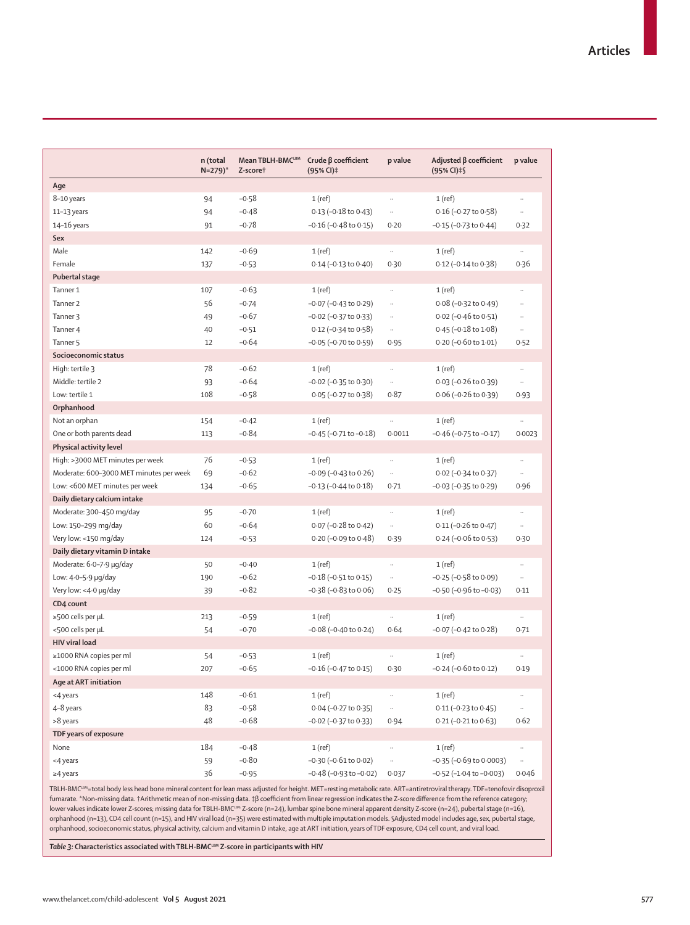|                                         | n (total<br>$N=279$ <sup>*</sup> | <b>Mean TBLH-BMCLBM</b><br>Z-scoret | Crude $\beta$ coefficient<br>$(95% CI)$ ‡ | p value  | Adjusted $\beta$ coefficient<br>(95% CI) ‡§ | p value      |
|-----------------------------------------|----------------------------------|-------------------------------------|-------------------------------------------|----------|---------------------------------------------|--------------|
| Age                                     |                                  |                                     |                                           |          |                                             |              |
| 8-10 years                              | 94                               | $-0.58$                             | 1(ref)                                    |          | $1$ (ref)                                   |              |
| $11-13$ years                           | 94                               | $-0.48$                             | $0.13$ (-0.18 to $0.43$ )                 | $\ldots$ | $0.16$ (-0.27 to 0.58)                      | $\ldots$     |
| $14-16$ years                           | 91                               | $-0.78$                             | $-0.16$ ( $-0.48$ to $0.15$ )             | 0.20     | $-0.15$ ( $-0.73$ to $0.44$ )               | 0.32         |
| Sex                                     |                                  |                                     |                                           |          |                                             |              |
| Male                                    | 142                              | $-0.69$                             | $1$ (ref)                                 | $\ldots$ | $1$ (ref)                                   | $\cdot$      |
| Female                                  | 137                              | $-0.53$                             | $0.14 (-0.13 to 0.40)$                    | 0.30     | $0.12$ (-0.14 to 0.38)                      | 0.36         |
| Pubertal stage                          |                                  |                                     |                                           |          |                                             |              |
| Tanner 1                                | 107                              | $-0.63$                             | $1$ (ref)                                 |          | $1$ (ref)                                   |              |
| Tanner <sub>2</sub>                     | 56                               | $-0.74$                             | $-0.07$ ( $-0.43$ to $0.29$ )             | $\ldots$ | $0.08 (-0.32 to 0.49)$                      | $\ddotsc$    |
| Tanner 3                                | 49                               | $-0.67$                             | $-0.02$ ( $-0.37$ to $0.33$ )             | $\ldots$ | $0.02$ (-0.46 to 0.51)                      | $\ldots$     |
| Tanner 4                                | 40                               | $-0.51$                             | $0.12$ (-0.34 to 0.58)                    | $\ldots$ | $0.45$ (-0.18 to 1.08)                      | $\ldots$     |
| Tanner 5                                | 12                               | $-0.64$                             | $-0.05$ ( $-0.70$ to $0.59$ )             | 0.95     | $0.20$ (-0.60 to 1.01)                      | 0.52         |
| Socioeconomic status                    |                                  |                                     |                                           |          |                                             |              |
| High: tertile 3                         | 78                               | $-0.62$                             | $1$ (ref)                                 | $\ldots$ | $1$ (ref)                                   | $\ldots$     |
| Middle: tertile 2                       | 93                               | $-0.64$                             | $-0.02$ ( $-0.35$ to $0.30$ )             | $\ldots$ | $0.03$ (-0.26 to 0.39)                      | $\cdots$     |
| Low: tertile 1                          | 108                              | $-0.58$                             | $0.05 (-0.27 to 0.38)$                    | 0.87     | $0.06$ (-0.26 to 0.39)                      | 0.93         |
| Orphanhood                              |                                  |                                     |                                           |          |                                             |              |
| Not an orphan                           | 154                              | $-0.42$                             | $1$ (ref)                                 |          | $1$ (ref)                                   |              |
| One or both parents dead                | 113                              | $-0.84$                             | $-0.45$ ( $-0.71$ to $-0.18$ )            | 0.0011   | $-0.46$ ( $-0.75$ to $-0.17$ )              | 0.0023       |
| Physical activity level                 |                                  |                                     |                                           |          |                                             |              |
| High: >3000 MET minutes per week        | 76                               | $-0.53$                             | $1$ (ref)                                 | $\ldots$ | $1$ (ref)                                   | $\cdot\cdot$ |
| Moderate: 600-3000 MET minutes per week | 69                               | $-0.62$                             | $-0.09$ ( $-0.43$ to $0.26$ )             | $\ldots$ | 0.02 (-0.34 to 0.37)                        | $\ldots$     |
| Low: <600 MET minutes per week          | 134                              | $-0.65$                             | $-0.13$ ( $-0.44$ to $0.18$ )             | 0.71     | $-0.03$ ( $-0.35$ to $0.29$ )               | 0.96         |
| Daily dietary calcium intake            |                                  |                                     |                                           |          |                                             |              |
| Moderate: 300-450 mg/day                | 95                               | $-0.70$                             | $1$ (ref)                                 |          | $1$ (ref)                                   |              |
| Low: 150-299 mg/day                     | 60                               | $-0.64$                             | $0.07$ (-0.28 to 0.42)                    | $\ldots$ | $0.11$ (-0.26 to 0.47)                      | $\ldots$     |
| Very low: <150 mg/day                   | 124                              | $-0.53$                             | $0.20$ (-0.09 to 0.48)                    | 0.39     | $0.24 (-0.06 to 0.53)$                      | 0.30         |
| Daily dietary vitamin D intake          |                                  |                                     |                                           |          |                                             |              |
| Moderate: 6.0-7.9 µg/day                | 50                               | $-0.40$                             | $1$ (ref)                                 | $\ldots$ | $1$ (ref)                                   | $\ldots$     |
| Low: $4.0 - 5.9$ $\mu$ g/day            | 190                              | $-0.62$                             | $-0.18$ ( $-0.51$ to $0.15$ )             | $\ldots$ | $-0.25$ ( $-0.58$ to $0.09$ )               | $\ldots$     |
| Very low: <4.0 µg/day                   | 39                               | $-0.82$                             | $-0.38$ ( $-0.83$ to $0.06$ )             | 0.25     | $-0.50$ ( $-0.96$ to $-0.03$ )              | 0.11         |
| CD4 count                               |                                  |                                     |                                           |          |                                             |              |
| $\geq$ 500 cells per µL                 | 213                              | $-0.59$                             | $1$ (ref)                                 |          | $1$ (ref)                                   |              |
| <500 cells per µL                       | 54                               | $-0.70$                             | $-0.08$ ( $-0.40$ to 0.24)                | 0.64     | $-0.07$ ( $-0.42$ to $0.28$ )               | 0.71         |
| <b>HIV viral load</b>                   |                                  |                                     |                                           |          |                                             |              |
| ≥1000 RNA copies per ml                 | 54                               | $-0.53$                             | $1$ (ref)                                 |          | $1$ (ref)                                   |              |
| <1000 RNA copies per ml                 | 207                              | $-0.65$                             | $-0.16$ ( $-0.47$ to $0.15$ )             | 0.30     | $-0.24$ ( $-0.60$ to $0.12$ )               | 0.19         |
| Age at ART initiation                   |                                  |                                     |                                           |          |                                             |              |
| <4 years                                | 148                              | $-0.61$                             | $1$ (ref)                                 | $\ldots$ | $1$ (ref)                                   | $\cdots$     |
| 4-8 years                               | 83                               | $-0.58$                             | 0.04 (-0.27 to 0.35)                      | $\ldots$ | $0.11 (-0.23 to 0.45)$                      | $\cdot$      |
| >8 years                                | 48                               | $-0.68$                             | $-0.02$ ( $-0.37$ to 0.33)                | 0.94     | $0.21 (-0.21 to 0.63)$                      | 0.62         |
| TDF years of exposure                   |                                  |                                     |                                           |          |                                             |              |
| None                                    | 184                              | $-0.48$                             |                                           |          | $1$ (ref)                                   |              |
| <4 years                                | 59                               | $-0.80$                             | 1(ref)<br>$-0.30$ ( $-0.61$ to $0.02$ )   | $\ldots$ | $-0.35$ ( $-0.69$ to 0.0003)                |              |
|                                         |                                  |                                     |                                           |          |                                             | $\cdot\cdot$ |
| $\geq$ 4 years                          | 36                               | $-0.95$                             | $-0.48$ ( $-0.93$ to $-0.02$ )            | 0.037    | $-0.52$ ( $-1.04$ to $-0.003$ )             | 0.046        |

TBLH-BMC<sup>LBM</sup>=total body less head bone mineral content for lean mass adjusted for height. MET=resting metabolic rate. ART=antiretroviral therapy. TDF=tenofovir disoproxil fumarate. \*Non-missing data. †Arithmetic mean of non-missing data. ‡β coefficient from linear regression indicates the Z-score difference from the reference category; lower values indicate lower Z-scores; missing data for TBLH-BMC<sup>LBM</sup> Z-score (n=24), lumbar spine bone mineral apparent density Z-score (n=24), pubertal stage (n=16), orphanhood (n=13), CD4 cell count (n=15), and HIV viral load (n=35) were estimated with multiple imputation models. §Adjusted model includes age, sex, pubertal stage, orphanhood, socioeconomic status, physical activity, calcium and vitamin D intake, age at ART initiation, years of TDF exposure, CD4 cell count, and viral load.

 $\overline{\mathit{Table 3}}$ : Characteristics associated with TBLH-BMCLBM Z-score in participants with HIV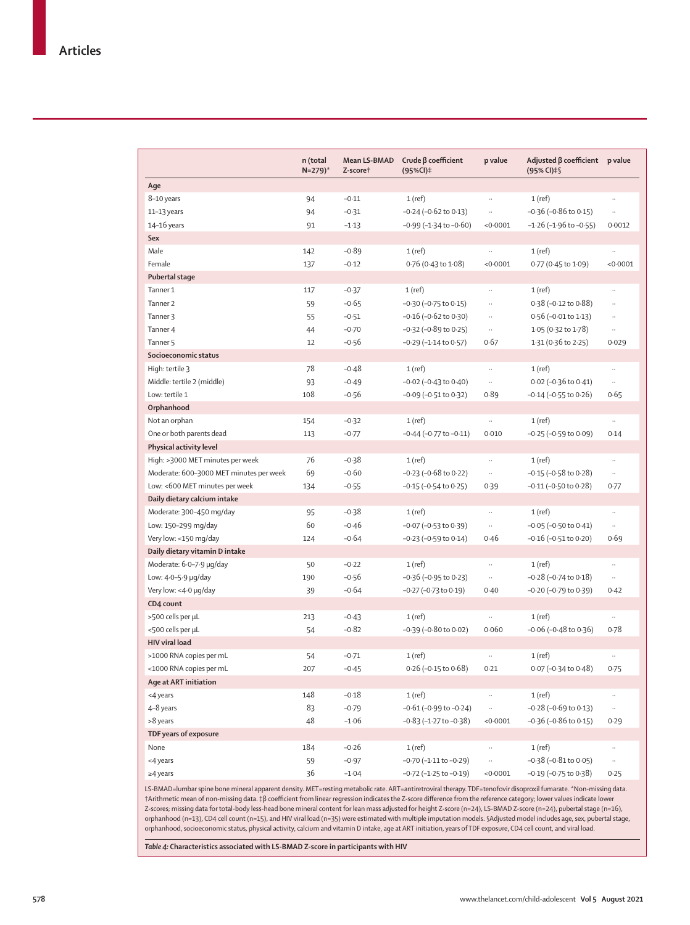| Age<br>8-10 years<br>94<br>$-0.11$<br>1(ref)<br>$1$ (ref)<br>$\ldots$<br>$-0.36$ ( $-0.86$ to $0.15$ )<br>94<br>$-0.31$<br>-0.24 (-0.62 to 0.13)<br>11-13 years<br>$\ldots$<br>$\ldots$<br>$-0.99$ ( $-1.34$ to $-0.60$ )<br>$-1.26$ ( $-1.96$ to $-0.55$ )<br>$14 - 16$ years<br>91<br>$-1.13$<br>< 0.0001<br>0.0012<br>Sex<br>Male<br>142<br>$-0.89$<br>$1$ (ref)<br>1(ref)<br>Female<br>137<br>$-0.12$<br>0.76 (0.43 to 1.08)<br>< 0.0001<br>0.77 (0.45 to 1.09)<br>< 0.0001<br>Pubertal stage<br>Tanner 1<br>$-0.37$<br>117<br>$1$ (ref)<br>$1$ (ref)<br>$\ldots$<br>$\ldots$<br>$-0.65$<br>Tanner <sub>2</sub><br>59<br>$-0.30$ ( $-0.75$ to $0.15$ )<br>0.38 (-0.12 to 0.88)<br><br><br>55<br>$-0.51$<br>$-0.16$ ( $-0.62$ to $0.30$ )<br>$0.56$ (-0.01 to 1.13)<br>Tanner 3<br>$\ddotsc$<br>$\ldots$<br>Tanner 4<br>44<br>$-0.70$<br>$-0.32$ ( $-0.89$ to 0.25)<br>$1.05(0.32 \text{ to } 1.78)$<br>$\cdot$<br>$\cdots$<br>1.31 (0.36 to 2.25)<br>Tanner <sub>5</sub><br>12<br>$-0.56$<br>$-0.29$ ( $-1.14$ to $0.57$ )<br>0.67<br>0.029 |
|-------------------------------------------------------------------------------------------------------------------------------------------------------------------------------------------------------------------------------------------------------------------------------------------------------------------------------------------------------------------------------------------------------------------------------------------------------------------------------------------------------------------------------------------------------------------------------------------------------------------------------------------------------------------------------------------------------------------------------------------------------------------------------------------------------------------------------------------------------------------------------------------------------------------------------------------------------------------------------------------------------------------------------------------------|
|                                                                                                                                                                                                                                                                                                                                                                                                                                                                                                                                                                                                                                                                                                                                                                                                                                                                                                                                                                                                                                                 |
|                                                                                                                                                                                                                                                                                                                                                                                                                                                                                                                                                                                                                                                                                                                                                                                                                                                                                                                                                                                                                                                 |
|                                                                                                                                                                                                                                                                                                                                                                                                                                                                                                                                                                                                                                                                                                                                                                                                                                                                                                                                                                                                                                                 |
|                                                                                                                                                                                                                                                                                                                                                                                                                                                                                                                                                                                                                                                                                                                                                                                                                                                                                                                                                                                                                                                 |
|                                                                                                                                                                                                                                                                                                                                                                                                                                                                                                                                                                                                                                                                                                                                                                                                                                                                                                                                                                                                                                                 |
|                                                                                                                                                                                                                                                                                                                                                                                                                                                                                                                                                                                                                                                                                                                                                                                                                                                                                                                                                                                                                                                 |
|                                                                                                                                                                                                                                                                                                                                                                                                                                                                                                                                                                                                                                                                                                                                                                                                                                                                                                                                                                                                                                                 |
|                                                                                                                                                                                                                                                                                                                                                                                                                                                                                                                                                                                                                                                                                                                                                                                                                                                                                                                                                                                                                                                 |
|                                                                                                                                                                                                                                                                                                                                                                                                                                                                                                                                                                                                                                                                                                                                                                                                                                                                                                                                                                                                                                                 |
|                                                                                                                                                                                                                                                                                                                                                                                                                                                                                                                                                                                                                                                                                                                                                                                                                                                                                                                                                                                                                                                 |
|                                                                                                                                                                                                                                                                                                                                                                                                                                                                                                                                                                                                                                                                                                                                                                                                                                                                                                                                                                                                                                                 |
|                                                                                                                                                                                                                                                                                                                                                                                                                                                                                                                                                                                                                                                                                                                                                                                                                                                                                                                                                                                                                                                 |
|                                                                                                                                                                                                                                                                                                                                                                                                                                                                                                                                                                                                                                                                                                                                                                                                                                                                                                                                                                                                                                                 |
| Socioeconomic status                                                                                                                                                                                                                                                                                                                                                                                                                                                                                                                                                                                                                                                                                                                                                                                                                                                                                                                                                                                                                            |
| 78<br>High: tertile 3<br>$-0.48$<br>$1$ (ref)<br>$1$ (ref)<br>$\ddotsc$                                                                                                                                                                                                                                                                                                                                                                                                                                                                                                                                                                                                                                                                                                                                                                                                                                                                                                                                                                         |
| Middle: tertile 2 (middle)<br>93<br>$-0.49$<br>$-0.02$ ( $-0.43$ to $0.40$ )<br>$0.02$ (-0.36 to 0.41)<br>$\ldots$<br>$\ldots$                                                                                                                                                                                                                                                                                                                                                                                                                                                                                                                                                                                                                                                                                                                                                                                                                                                                                                                  |
| Low: tertile 1<br>108<br>$-0.56$<br>$-0.09$ ( $-0.51$ to $0.32$ )<br>0.89<br>$-0.14$ ( $-0.55$ to $0.26$ )<br>0.65                                                                                                                                                                                                                                                                                                                                                                                                                                                                                                                                                                                                                                                                                                                                                                                                                                                                                                                              |
| Orphanhood                                                                                                                                                                                                                                                                                                                                                                                                                                                                                                                                                                                                                                                                                                                                                                                                                                                                                                                                                                                                                                      |
| Not an orphan<br>$-0.32$<br>1(ref)<br>1(ref)<br>154<br>$\ldots$<br>$\cdot\cdot$                                                                                                                                                                                                                                                                                                                                                                                                                                                                                                                                                                                                                                                                                                                                                                                                                                                                                                                                                                 |
| One or both parents dead<br>$-0.77$<br>$-0.44$ ( $-0.77$ to $-0.11$ )<br>0.010<br>$-0.25$ ( $-0.59$ to $0.09$ )<br>113<br>0.14                                                                                                                                                                                                                                                                                                                                                                                                                                                                                                                                                                                                                                                                                                                                                                                                                                                                                                                  |
| Physical activity level                                                                                                                                                                                                                                                                                                                                                                                                                                                                                                                                                                                                                                                                                                                                                                                                                                                                                                                                                                                                                         |
| 76<br>High: >3000 MET minutes per week<br>$-0.38$<br>$1$ (ref)<br>1(ref)                                                                                                                                                                                                                                                                                                                                                                                                                                                                                                                                                                                                                                                                                                                                                                                                                                                                                                                                                                        |
| 69<br>$-0.60$<br>Moderate: 600-3000 MET minutes per week<br>$-0.23$ ( $-0.68$ to 0.22)<br>$-0.15$ ( $-0.58$ to $0.28$ )<br>$\ldots$<br>$\ldots$                                                                                                                                                                                                                                                                                                                                                                                                                                                                                                                                                                                                                                                                                                                                                                                                                                                                                                 |
| Low: <600 MET minutes per week<br>$-0.55$<br>$-0.15$ ( $-0.54$ to $0.25$ )<br>$-0.11$ ( $-0.50$ to $0.28$ )<br>134<br>0.39<br>0.77                                                                                                                                                                                                                                                                                                                                                                                                                                                                                                                                                                                                                                                                                                                                                                                                                                                                                                              |
| Daily dietary calcium intake                                                                                                                                                                                                                                                                                                                                                                                                                                                                                                                                                                                                                                                                                                                                                                                                                                                                                                                                                                                                                    |
| Moderate: 300-450 mg/day<br>$-0.38$<br>95<br>$1$ (ref)<br>$1$ (ref)<br>$\ldots$<br>$\ldots$                                                                                                                                                                                                                                                                                                                                                                                                                                                                                                                                                                                                                                                                                                                                                                                                                                                                                                                                                     |
| 60<br>$-0.05$ ( $-0.50$ to $0.41$ )<br>Low: 150-299 mg/day<br>$-0.46$<br>$-0.07$ ( $-0.53$ to 0.39)<br>$\ldots$<br>$\ldots$                                                                                                                                                                                                                                                                                                                                                                                                                                                                                                                                                                                                                                                                                                                                                                                                                                                                                                                     |
| $-0.64$<br>$-0.16$ ( $-0.51$ to $0.20$ )<br>Very low: <150 mg/day<br>$-0.23$ ( $-0.59$ to $0.14$ )<br>0.46<br>0.69<br>124                                                                                                                                                                                                                                                                                                                                                                                                                                                                                                                                                                                                                                                                                                                                                                                                                                                                                                                       |
| Daily dietary vitamin D intake                                                                                                                                                                                                                                                                                                                                                                                                                                                                                                                                                                                                                                                                                                                                                                                                                                                                                                                                                                                                                  |
| Moderate: 6.0–7.9 µg/day<br>$-0.22$<br>$1$ (ref)<br>50<br>$1$ (ref)<br><br>$\ldots$                                                                                                                                                                                                                                                                                                                                                                                                                                                                                                                                                                                                                                                                                                                                                                                                                                                                                                                                                             |
| Low: 4.0-5.9 µg/day<br>$-0.56$<br>190<br>$-0.36$ ( $-0.95$ to 0.23)<br>$-0.28$ ( $-0.74$ to $0.18$ )<br>$\ldots$<br>$\cdots$                                                                                                                                                                                                                                                                                                                                                                                                                                                                                                                                                                                                                                                                                                                                                                                                                                                                                                                    |
| Very low: <4.0 µg/day<br>$-0.64$<br>$-0.27$ ( $-0.73$ to $0.19$ )<br>$-0.20$ ( $-0.79$ to $0.39$ )<br>39<br>0.40<br>0.42                                                                                                                                                                                                                                                                                                                                                                                                                                                                                                                                                                                                                                                                                                                                                                                                                                                                                                                        |
| CD4 count                                                                                                                                                                                                                                                                                                                                                                                                                                                                                                                                                                                                                                                                                                                                                                                                                                                                                                                                                                                                                                       |
| >500 cells per µL<br>$-0.43$<br>213<br>$1$ (ref)<br>$1$ (ref)<br>$\ddot{\phantom{0}}$                                                                                                                                                                                                                                                                                                                                                                                                                                                                                                                                                                                                                                                                                                                                                                                                                                                                                                                                                           |
| $-0.82$<br>$-0.06$ ( $-0.48$ to 0.36)<br><500 cells per µL<br>$-0.39$ ( $-0.80$ to $0.02$ )<br>0.060<br>0.78<br>54                                                                                                                                                                                                                                                                                                                                                                                                                                                                                                                                                                                                                                                                                                                                                                                                                                                                                                                              |
| <b>HIV viral load</b>                                                                                                                                                                                                                                                                                                                                                                                                                                                                                                                                                                                                                                                                                                                                                                                                                                                                                                                                                                                                                           |
| >1000 RNA copies per mL<br>$1$ (ref)<br>54<br>$-0.71$<br>$1$ (ref)                                                                                                                                                                                                                                                                                                                                                                                                                                                                                                                                                                                                                                                                                                                                                                                                                                                                                                                                                                              |
| $0.26$ (-0.15 to 0.68)<br><1000 RNA copies per mL<br>$0.07 (-0.34 \text{ to } 0.48)$<br>$-0.45$<br>0.21<br>207<br>0.75                                                                                                                                                                                                                                                                                                                                                                                                                                                                                                                                                                                                                                                                                                                                                                                                                                                                                                                          |
| <b>Age at ART initiation</b>                                                                                                                                                                                                                                                                                                                                                                                                                                                                                                                                                                                                                                                                                                                                                                                                                                                                                                                                                                                                                    |
| $-0.18$<br><4 years<br>148<br>$1$ (ref)<br>$1$ (ref)                                                                                                                                                                                                                                                                                                                                                                                                                                                                                                                                                                                                                                                                                                                                                                                                                                                                                                                                                                                            |
| $-0.79$<br>$-0.61(-0.99$ to $-0.24)$<br>$-0.28$ ( $-0.69$ to $0.13$ )<br>4-8 years<br>83<br>$\ldots$<br>$\cdot$ .                                                                                                                                                                                                                                                                                                                                                                                                                                                                                                                                                                                                                                                                                                                                                                                                                                                                                                                               |
| >8 years<br>48<br>$-1.06$<br>$-0.83$ ( $-1.27$ to $-0.38$ )<br>< 0.0001<br>$-0.36$ ( $-0.86$ to $0.15$ )<br>0.29                                                                                                                                                                                                                                                                                                                                                                                                                                                                                                                                                                                                                                                                                                                                                                                                                                                                                                                                |
| TDF years of exposure                                                                                                                                                                                                                                                                                                                                                                                                                                                                                                                                                                                                                                                                                                                                                                                                                                                                                                                                                                                                                           |
| 184<br>$-0.26$<br>1(ref)<br>1(ref)<br>None<br><br>$\ldots$                                                                                                                                                                                                                                                                                                                                                                                                                                                                                                                                                                                                                                                                                                                                                                                                                                                                                                                                                                                      |
| $-0.38$ ( $-0.81$ to $0.05$ )<br>$-0.97$<br>$-0.70$ ( $-1.11$ to $-0.29$ )<br><4 years<br>59<br>$\ldots$<br>.,                                                                                                                                                                                                                                                                                                                                                                                                                                                                                                                                                                                                                                                                                                                                                                                                                                                                                                                                  |
| 36<br>$-1.04$<br>$-0.72$ ( $-1.25$ to $-0.19$ )<br>< 0.0001<br>$-0.19$ ( $-0.75$ to 0.38)<br>$\geq$ 4 years<br>0.25                                                                                                                                                                                                                                                                                                                                                                                                                                                                                                                                                                                                                                                                                                                                                                                                                                                                                                                             |

LS-BMAD=lumbar spine bone mineral apparent density. MET=resting metabolic rate. ART=antiretroviral therapy. TDF=tenofovir disoproxil fumarate. \*Non-missing data. †Arithmetic mean of non-missing data. ‡β coefficient from linear regression indicates the Z-score difference from the reference category; lower values indicate lower Z-scores; missing data for total-body less-head bone mineral content for lean mass adjusted for height Z-score (n=24), LS-BMAD Z-score (n=24), pubertal stage (n=16), orphanhood (n=13), CD4 cell count (n=15), and HIV viral load (n=35) were estimated with multiple imputation models. §Adjusted model includes age, sex, pubertal stage, orphanhood, socioeconomic status, physical activity, calcium and vitamin D intake, age at ART initiation, years of TDF exposure, CD4 cell count, and viral load.

*Table 4:* **Characteristics associated with LS-BMAD Z-score in participants with HIV**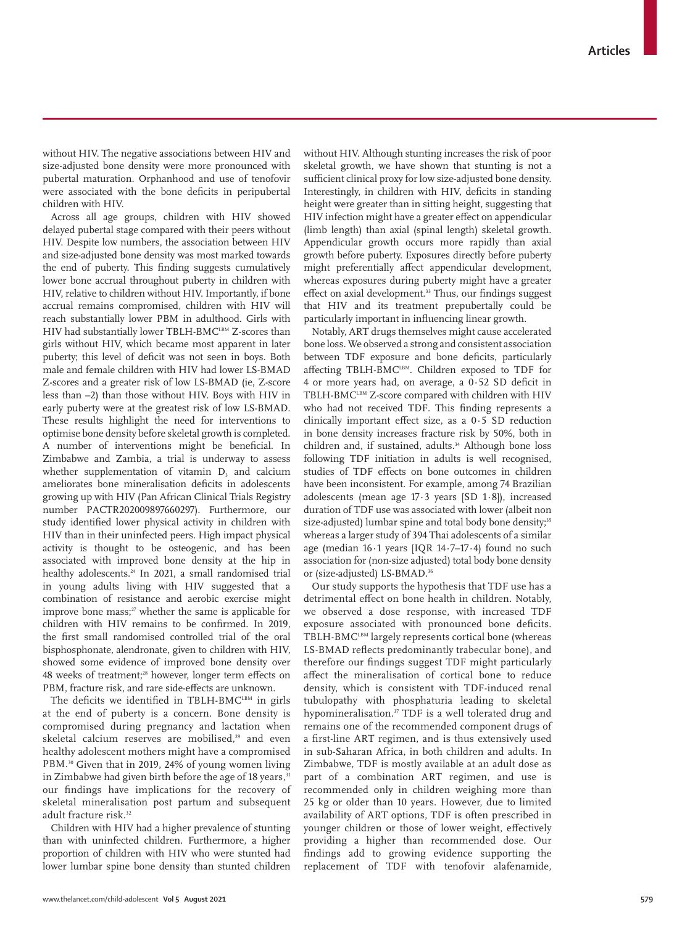without HIV. The negative associations between HIV and size-adjusted bone density were more pronounced with pubertal maturation. Orphanhood and use of tenofovir were associated with the bone deficits in peripubertal children with HIV.

Across all age groups, children with HIV showed delayed pubertal stage compared with their peers without HIV. Despite low numbers, the association between HIV and size-adjusted bone density was most marked towards the end of puberty. This finding suggests cumulatively lower bone accrual throughout puberty in children with HIV, relative to children without HIV. Importantly, if bone accrual remains compromised, children with HIV will reach substantially lower PBM in adulthood. Girls with HIV had substantially lower TBLH-BMCLBM Z-scores than girls without HIV, which became most apparent in later puberty; this level of deficit was not seen in boys. Both male and female children with HIV had lower LS-BMAD Z-scores and a greater risk of low LS-BMAD (ie, Z-score less than –2) than those without HIV. Boys with HIV in early puberty were at the greatest risk of low LS-BMAD. These results highlight the need for interventions to optimise bone density before skeletal growth is completed. A number of interventions might be beneficial. In Zimbabwe and Zambia, a trial is underway to assess whether supplementation of vitamin D, and calcium ameliorates bone mineralisation deficits in adolescents growing up with HIV (Pan African Clinical Trials Registry number PACTR202009897660297). Furthermore, our study identified lower physical activity in children with HIV than in their uninfected peers. High impact physical activity is thought to be osteogenic, and has been associated with improved bone density at the hip in healthy adolescents.<sup>24</sup> In 2021, a small randomised trial in young adults living with HIV suggested that a combination of resistance and aerobic exercise might improve bone mass; $27$  whether the same is applicable for children with HIV remains to be confirmed. In 2019, the first small randomised controlled trial of the oral bisphosphonate, alendronate, given to children with HIV, showed some evidence of improved bone density over 48 weeks of treatment;<sup>28</sup> however, longer term effects on PBM, fracture risk, and rare side-effects are unknown.

The deficits we identified in TBLH-BM $C<sup>LBM</sup>$  in girls at the end of puberty is a concern. Bone density is compromised during pregnancy and lactation when skeletal calcium reserves are mobilised,<sup>29</sup> and even healthy adolescent mothers might have a compromised PBM.<sup>30</sup> Given that in 2019, 24% of young women living in Zimbabwe had given birth before the age of 18 years,<sup>31</sup> our findings have implications for the recovery of skeletal mineralisation post partum and subsequent adult fracture risk.<sup>32</sup>

Children with HIV had a higher prevalence of stunting than with uninfected children. Furthermore, a higher proportion of children with HIV who were stunted had lower lumbar spine bone density than stunted children without HIV. Although stunting increases the risk of poor skeletal growth, we have shown that stunting is not a sufficient clinical proxy for low size-adjusted bone density. Interestingly, in children with HIV, deficits in standing height were greater than in sitting height, suggesting that HIV infection might have a greater effect on appendicular (limb length) than axial (spinal length) skeletal growth. Appendicular growth occurs more rapidly than axial growth before puberty. Exposures directly before puberty might preferentially affect appendicular development, whereas exposures during puberty might have a greater effect on axial development.<sup>33</sup> Thus, our findings suggest that HIV and its treatment prepubertally could be particularly important in influencing linear growth.

Notably, ART drugs themselves might cause accelerated bone loss. We observed a strong and consistent association between TDF exposure and bone deficits, particularly affecting TBLH-BMC<sup>LBM</sup>. Children exposed to TDF for 4 or more years had, on average, a 0·52 SD deficit in TBLH-BMCLBM Z-score compared with children with HIV who had not received TDF. This finding represents a clinically important effect size, as a 0·5 SD reduction in bone density increases fracture risk by 50%, both in children and, if sustained, adults.<sup>34</sup> Although bone loss following TDF initiation in adults is well recognised, studies of TDF effects on bone outcomes in children have been inconsistent. For example, among 74 Brazilian adolescents (mean age 17·3 years [SD 1·8]), increased duration of TDF use was associated with lower (albeit non size-adjusted) lumbar spine and total body bone density;<sup>35</sup> whereas a larger study of 394 Thai adolescents of a similar age (median 16·1 years [IQR 14·7–17·4) found no such association for (non-size adjusted) total body bone density or (size-adjusted) LS-BMAD.<sup>36</sup>

Our study supports the hypothesis that TDF use has a detrimental effect on bone health in children. Notably, we observed a dose response, with increased TDF exposure associated with pronounced bone deficits. TBLH-BMC<sup>LBM</sup> largely represents cortical bone (whereas LS-BMAD reflects predominantly trabecular bone), and therefore our findings suggest TDF might particularly affect the mineralisation of cortical bone to reduce density, which is consistent with TDF-induced renal tubulopathy with phosphaturia leading to skeletal hypomineralisation.<sup>37</sup> TDF is a well tolerated drug and remains one of the recommended component drugs of a first-line ART regimen, and is thus extensively used in sub-Saharan Africa, in both children and adults. In Zimbabwe, TDF is mostly available at an adult dose as part of a combination ART regimen, and use is recommended only in children weighing more than 25 kg or older than 10 years. However, due to limited availability of ART options, TDF is often prescribed in younger children or those of lower weight, effectively providing a higher than recommended dose. Our findings add to growing evidence supporting the replacement of TDF with tenofovir alafenamide,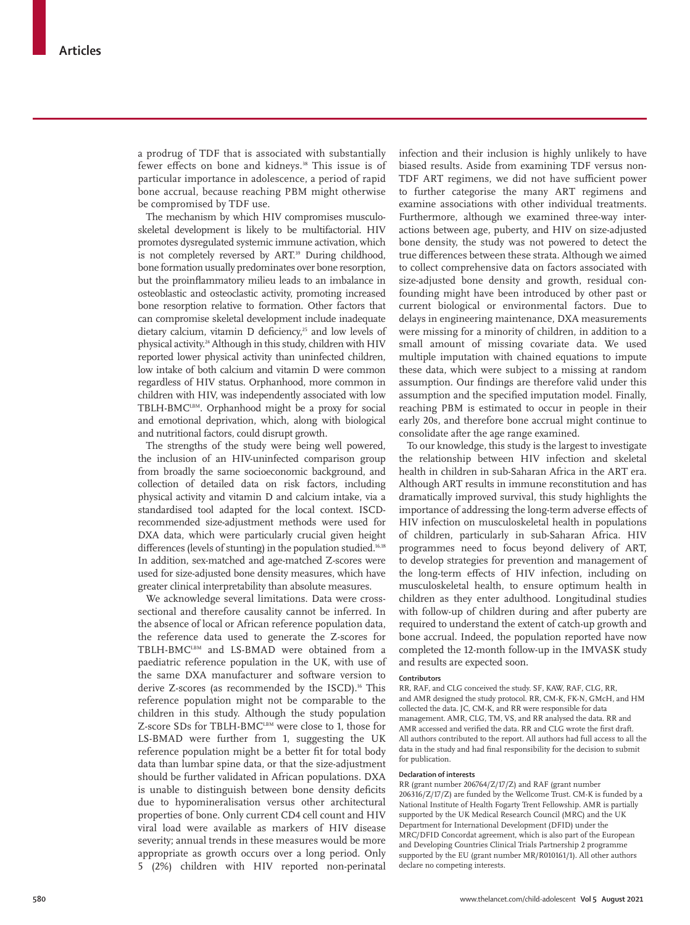a prodrug of TDF that is associated with substantially fewer effects on bone and kidneys.<sup>38</sup> This issue is of particular importance in adolescence, a period of rapid bone accrual, because reaching PBM might otherwise be compromised by TDF use.

The mechanism by which HIV compromises musculoskeletal development is likely to be multifactorial. HIV promotes dysregulated systemic immune activation, which is not completely reversed by ART.<sup>39</sup> During childhood, bone formation usually predominates over bone resorption, but the proinflammatory milieu leads to an imbalance in osteoblastic and osteoclastic activity, promoting increased bone resorption relative to formation. Other factors that can compromise skeletal development include inadequate dietary calcium, vitamin D deficiency,<sup>25</sup> and low levels of physical activity.24 Although in this study, children with HIV reported lower physical activity than uninfected children, low intake of both calcium and vitamin D were common regardless of HIV status. Orphanhood, more common in children with HIV, was independently associated with low TBLH-BMCLBM. Orphanhood might be a proxy for social and emotional deprivation, which, along with biological and nutritional factors, could disrupt growth.

The strengths of the study were being well powered, the inclusion of an HIV-uninfected comparison group from broadly the same socioeconomic background, and collection of detailed data on risk factors, including physical activity and vitamin D and calcium intake, via a standardised tool adapted for the local context. ISCDrecommended size-adjustment methods were used for DXA data, which were particularly crucial given height differences (levels of stunting) in the population studied.<sup>16,18</sup> In addition, sex-matched and age-matched Z-scores were used for size-adjusted bone density measures, which have greater clinical interpretability than absolute measures.

We acknowledge several limitations. Data were crosssectional and therefore causality cannot be inferred. In the absence of local or African reference population data, the reference data used to generate the Z-scores for TBLH-BMCLBM and LS-BMAD were obtained from a paediatric reference population in the UK, with use of the same DXA manufacturer and software version to derive Z-scores (as recommended by the ISCD).<sup>16</sup> This reference population might not be comparable to the children in this study. Although the study population Z-score SDs for TBLH-BMC<sup>LBM</sup> were close to 1, those for LS-BMAD were further from 1, suggesting the UK reference population might be a better fit for total body data than lumbar spine data, or that the size-adjustment should be further validated in African populations. DXA is unable to distinguish between bone density deficits due to hypomineralisation versus other architectural properties of bone. Only current CD4 cell count and HIV viral load were available as markers of HIV disease severity; annual trends in these measures would be more appropriate as growth occurs over a long period. Only 5 (2%) children with HIV reported non-perinatal

infection and their inclusion is highly unlikely to have biased results. Aside from examining TDF versus non-TDF ART regimens, we did not have sufficient power to further categorise the many ART regimens and examine associations with other individual treatments. Furthermore, although we examined three-way interactions between age, puberty, and HIV on size-adjusted bone density, the study was not powered to detect the true differences between these strata. Although we aimed to collect comprehensive data on factors associated with size-adjusted bone density and growth, residual confounding might have been introduced by other past or current biological or environmental factors. Due to delays in engineering maintenance, DXA measurements were missing for a minority of children, in addition to a small amount of missing covariate data. We used multiple imputation with chained equations to impute these data, which were subject to a missing at random assumption. Our findings are therefore valid under this assumption and the specified imputation model. Finally, reaching PBM is estimated to occur in people in their early 20s, and therefore bone accrual might continue to consolidate after the age range examined.

To our knowledge, this study is the largest to investigate the relationship between HIV infection and skeletal health in children in sub-Saharan Africa in the ART era. Although ART results in immune reconstitution and has dramatically improved survival, this study highlights the importance of addressing the long-term adverse effects of HIV infection on musculoskeletal health in populations of children, particularly in sub-Saharan Africa. HIV programmes need to focus beyond delivery of ART, to develop strategies for prevention and management of the long-term effects of HIV infection, including on musculoskeletal health, to ensure optimum health in children as they enter adulthood. Longitudinal studies with follow-up of children during and after puberty are required to understand the extent of catch-up growth and bone accrual. Indeed, the population reported have now completed the 12-month follow-up in the IMVASK study and results are expected soon.

#### **Contributors**

RR, RAF, and CLG conceived the study. SF, KAW, RAF, CLG, RR, and AMR designed the study protocol. RR, CM-K, FK-N, GMcH, and HM collected the data. JC, CM-K, and RR were responsible for data management. AMR, CLG, TM, VS, and RR analysed the data. RR and AMR accessed and verified the data. RR and CLG wrote the first draft. All authors contributed to the report. All authors had full access to all the data in the study and had final responsibility for the decision to submit for publication.

#### **Declaration of interests**

RR (grant number 206764/Z/17/Z) and RAF (grant number 206316/Z/17/Z) are funded by the Wellcome Trust. CM-K is funded by a National Institute of Health Fogarty Trent Fellowship. AMR is partially supported by the UK Medical Research Council (MRC) and the UK Department for International Development (DFID) under the MRC/DFID Concordat agreement, which is also part of the European and Developing Countries Clinical Trials Partnership 2 programme supported by the EU (grant number MR/R010161/1). All other authors declare no competing interests.